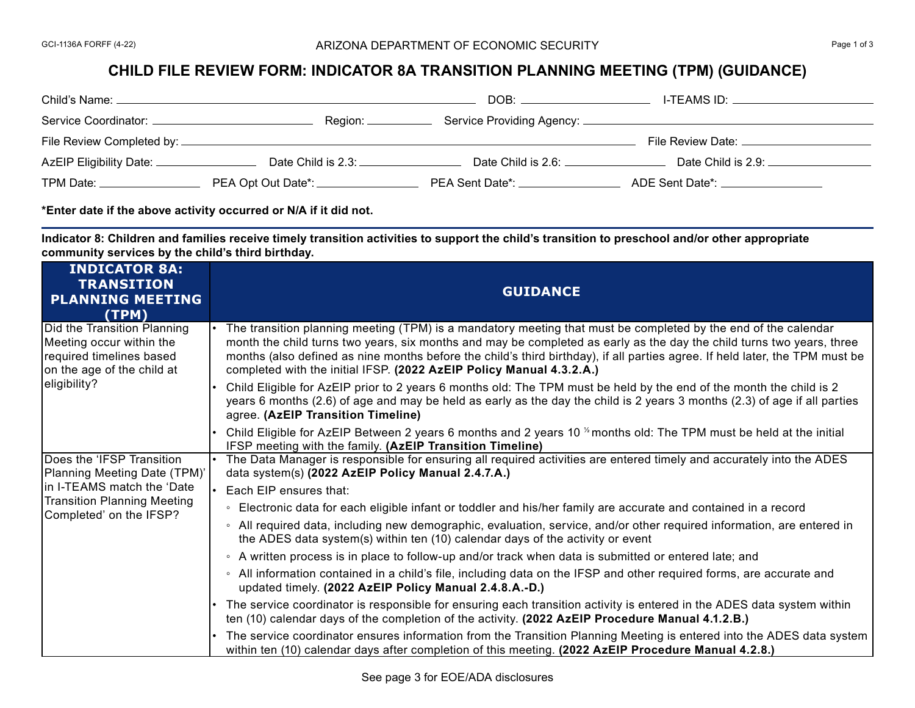## **CHILD FILE REVIEW FORM: INDICATOR 8A TRANSITION PLANNING MEETING (TPM) (GUIDANCE)**

| Child's Name: ___                                                                                                                                                                                                             |                                    | DOB:                                                                                                           | I-TEAMS ID: And the state of the state of the state of the state of the state of the state of the state of the |
|-------------------------------------------------------------------------------------------------------------------------------------------------------------------------------------------------------------------------------|------------------------------------|----------------------------------------------------------------------------------------------------------------|----------------------------------------------------------------------------------------------------------------|
| Service Coordinator: _                                                                                                                                                                                                        | Region: ____                       |                                                                                                                |                                                                                                                |
|                                                                                                                                                                                                                               |                                    |                                                                                                                | File Review Date: _______________________                                                                      |
| AzEIP Eligibility Date: ________________                                                                                                                                                                                      | Date Child is 2.3:                 | Date Child is 2.6: Date Child is 2.6:                                                                          | Date Child is 2.9:                                                                                             |
| TPM Date: The Contract of the Contract of the Contract of the Contract of the Contract of the Contract of the Contract of the Contract of the Contract of the Contract of the Contract of the Contract of the Contract of the | PEA Opt Out Date*: _______________ | PEA Sent Date*: And the Sent of the Sent of the Sent of the Sent of the Sent of the Sent of the Sent of the Se | ADE Sent Date*: ADE Sent Date And ADE Sent Date And ADE Sent Date And ADE Sent A                               |

**\*Enter date if the above activity occurred or N/A if it did not.**

**Indicator 8: Children and families receive timely transition activities to support the child's transition to preschool and/or other appropriate community services by the child's third birthday.** 

| <b>INDICATOR 8A:</b><br><b>TRANSITION</b><br><b>PLANNING MEETING</b><br>(TPM)                                                                            | <b>GUIDANCE</b>                                                                                                                                                                                                                                                                                                                                                                                                                                 |
|----------------------------------------------------------------------------------------------------------------------------------------------------------|-------------------------------------------------------------------------------------------------------------------------------------------------------------------------------------------------------------------------------------------------------------------------------------------------------------------------------------------------------------------------------------------------------------------------------------------------|
| Did the Transition Planning<br>Meeting occur within the<br>required timelines based<br>on the age of the child at<br>eligibility?                        | The transition planning meeting (TPM) is a mandatory meeting that must be completed by the end of the calendar<br>month the child turns two years, six months and may be completed as early as the day the child turns two years, three<br>months (also defined as nine months before the child's third birthday), if all parties agree. If held later, the TPM must be<br>completed with the initial IFSP. (2022 AzEIP Policy Manual 4.3.2.A.) |
|                                                                                                                                                          | Child Eligible for AzEIP prior to 2 years 6 months old: The TPM must be held by the end of the month the child is 2<br>years 6 months (2.6) of age and may be held as early as the day the child is 2 years 3 months (2.3) of age if all parties<br>agree. (AzEIP Transition Timeline)                                                                                                                                                          |
|                                                                                                                                                          | Child Eligible for AzEIP Between 2 years 6 months and 2 years 10 <sup>1/2</sup> months old: The TPM must be held at the initial<br>IFSP meeting with the family. (AzEIP Transition Timeline)                                                                                                                                                                                                                                                    |
| Does the 'IFSP Transition<br>Planning Meeting Date (TPM)'<br>In I-TEAMS match the 'Date<br><b>Transition Planning Meeting</b><br>Completed' on the IFSP? | The Data Manager is responsible for ensuring all required activities are entered timely and accurately into the ADES<br>data system(s) (2022 AzEIP Policy Manual 2.4.7.A.)                                                                                                                                                                                                                                                                      |
|                                                                                                                                                          | Each EIP ensures that:                                                                                                                                                                                                                                                                                                                                                                                                                          |
|                                                                                                                                                          | ◦ Electronic data for each eligible infant or toddler and his/her family are accurate and contained in a record                                                                                                                                                                                                                                                                                                                                 |
|                                                                                                                                                          | ∘ All required data, including new demographic, evaluation, service, and/or other required information, are entered in<br>the ADES data system(s) within ten (10) calendar days of the activity or event                                                                                                                                                                                                                                        |
|                                                                                                                                                          | • A written process is in place to follow-up and/or track when data is submitted or entered late; and                                                                                                                                                                                                                                                                                                                                           |
|                                                                                                                                                          | ∘ All information contained in a child's file, including data on the IFSP and other required forms, are accurate and<br>updated timely. (2022 AzEIP Policy Manual 2.4.8.A.-D.)                                                                                                                                                                                                                                                                  |
|                                                                                                                                                          | The service coordinator is responsible for ensuring each transition activity is entered in the ADES data system within<br>ten (10) calendar days of the completion of the activity. (2022 AzEIP Procedure Manual 4.1.2.B.)                                                                                                                                                                                                                      |
|                                                                                                                                                          | The service coordinator ensures information from the Transition Planning Meeting is entered into the ADES data system<br>within ten (10) calendar days after completion of this meeting. (2022 AzEIP Procedure Manual 4.2.8.)                                                                                                                                                                                                                   |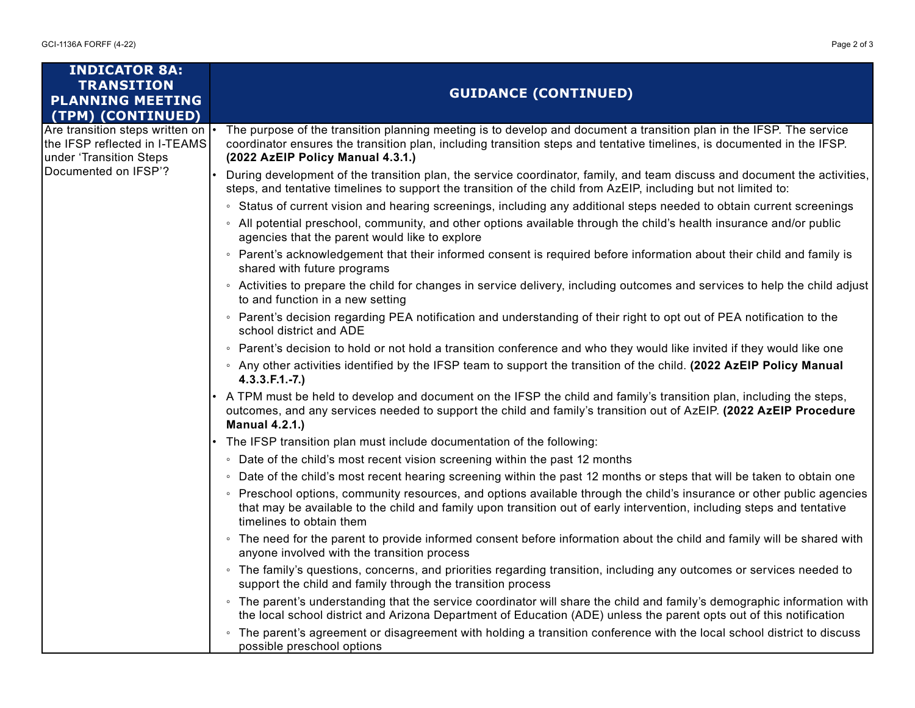| <b>INDICATOR 8A:</b><br><b>TRANSITION</b><br><b>PLANNING MEETING</b>                                                | <b>GUIDANCE (CONTINUED)</b>                                                                                                                                                                                                                                                          |  |
|---------------------------------------------------------------------------------------------------------------------|--------------------------------------------------------------------------------------------------------------------------------------------------------------------------------------------------------------------------------------------------------------------------------------|--|
| (TPM) (CONTINUED)                                                                                                   |                                                                                                                                                                                                                                                                                      |  |
| Are transition steps written on<br>the IFSP reflected in I-TEAMS<br>under 'Transition Steps<br>Documented on IFSP'? | The purpose of the transition planning meeting is to develop and document a transition plan in the IFSP. The service<br>coordinator ensures the transition plan, including transition steps and tentative timelines, is documented in the IFSP.<br>(2022 AzEIP Policy Manual 4.3.1.) |  |
|                                                                                                                     | During development of the transition plan, the service coordinator, family, and team discuss and document the activities,<br>steps, and tentative timelines to support the transition of the child from AzEIP, including but not limited to:                                         |  |
|                                                                                                                     | • Status of current vision and hearing screenings, including any additional steps needed to obtain current screenings                                                                                                                                                                |  |
|                                                                                                                     | • All potential preschool, community, and other options available through the child's health insurance and/or public<br>agencies that the parent would like to explore                                                                                                               |  |
|                                                                                                                     | ∘ Parent's acknowledgement that their informed consent is required before information about their child and family is<br>shared with future programs                                                                                                                                 |  |
|                                                                                                                     | • Activities to prepare the child for changes in service delivery, including outcomes and services to help the child adjust<br>to and function in a new setting                                                                                                                      |  |
|                                                                                                                     | ∘ Parent's decision regarding PEA notification and understanding of their right to opt out of PEA notification to the<br>school district and ADE                                                                                                                                     |  |
|                                                                                                                     | • Parent's decision to hold or not hold a transition conference and who they would like invited if they would like one                                                                                                                                                               |  |
|                                                                                                                     | ∘ Any other activities identified by the IFSP team to support the transition of the child. (2022 AzEIP Policy Manual<br>$4.3.3.F.1.-7.)$                                                                                                                                             |  |
|                                                                                                                     | A TPM must be held to develop and document on the IFSP the child and family's transition plan, including the steps,<br>outcomes, and any services needed to support the child and family's transition out of AzEIP. (2022 AzEIP Procedure<br><b>Manual 4.2.1.)</b>                   |  |
|                                                                                                                     | The IFSP transition plan must include documentation of the following:                                                                                                                                                                                                                |  |
|                                                                                                                     | • Date of the child's most recent vision screening within the past 12 months                                                                                                                                                                                                         |  |
|                                                                                                                     | • Date of the child's most recent hearing screening within the past 12 months or steps that will be taken to obtain one                                                                                                                                                              |  |
|                                                                                                                     | ◦ Preschool options, community resources, and options available through the child's insurance or other public agencies<br>that may be available to the child and family upon transition out of early intervention, including steps and tentative<br>timelines to obtain them         |  |
|                                                                                                                     | • The need for the parent to provide informed consent before information about the child and family will be shared with<br>anyone involved with the transition process                                                                                                               |  |
|                                                                                                                     | • The family's questions, concerns, and priorities regarding transition, including any outcomes or services needed to<br>support the child and family through the transition process                                                                                                 |  |
|                                                                                                                     | • The parent's understanding that the service coordinator will share the child and family's demographic information with<br>the local school district and Arizona Department of Education (ADE) unless the parent opts out of this notification                                      |  |
|                                                                                                                     | • The parent's agreement or disagreement with holding a transition conference with the local school district to discuss<br>possible preschool options                                                                                                                                |  |